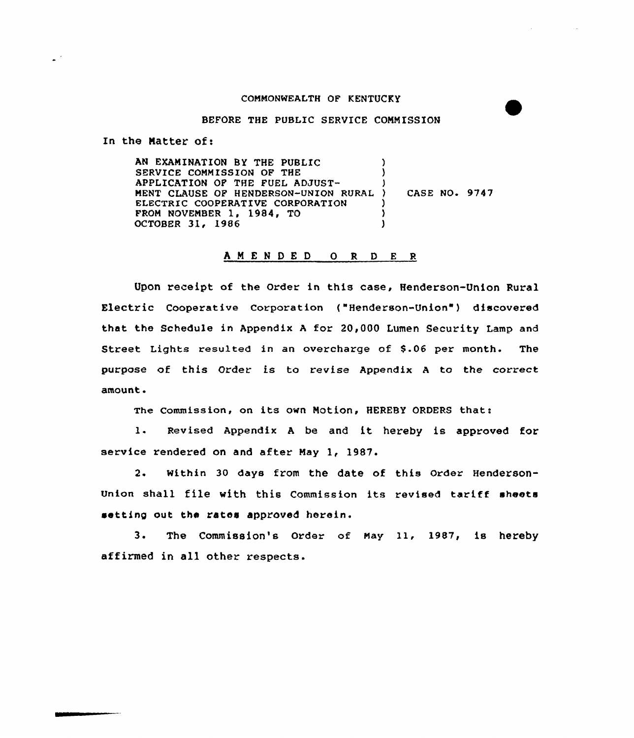#### COMMONWEALTH OF KENTUCKY

 $\sim 100$ 

#### BEFORE THE PUBLIC SERVICE COMMISSION

In the Matter of:

 $\omega^{(i)}$ 

AN EXAMINATION BY THE PUBLIC SERVICE COMMISSION OF THE APPLICATION OF THE FUEL ADJUST-MENT CLAUSE QF HENDERSON-UNION RURAL ELECTRIC COOPERATIVE CORPORATION FROM NOVEMBER 1, 1984, TO OCTOBER 31, l986 ) ) ) ) CASE NO. 9747 )  $\lambda$ )

## ANENDEDORDER

Upon receipt of the Order in this case, Henderson-Union Rural Electric Cooperative Corporation ("Henderson-Union" ) discovered that the Schedule in Appendix <sup>A</sup> for 20,000 Lumen Security Lamp and Street Lights resulted in an overcharge of \$.06 per month. The purpose of this Order is to revise Appendix <sup>A</sup> to the correct amount.

The Commission, on its own Motion, HEREBY ORDERS that:

1. Revised Appendix <sup>A</sup> be and it hereby is approved for service rendered on and after May 1, 1987.

2. within 30 days from the date of this Order Henderson-Union shall file with this Commission its revised tariff sheets setting out the rates approved herein.

3. The Commission's Order of May 11, 1987, is hereby affirmed in all other respects.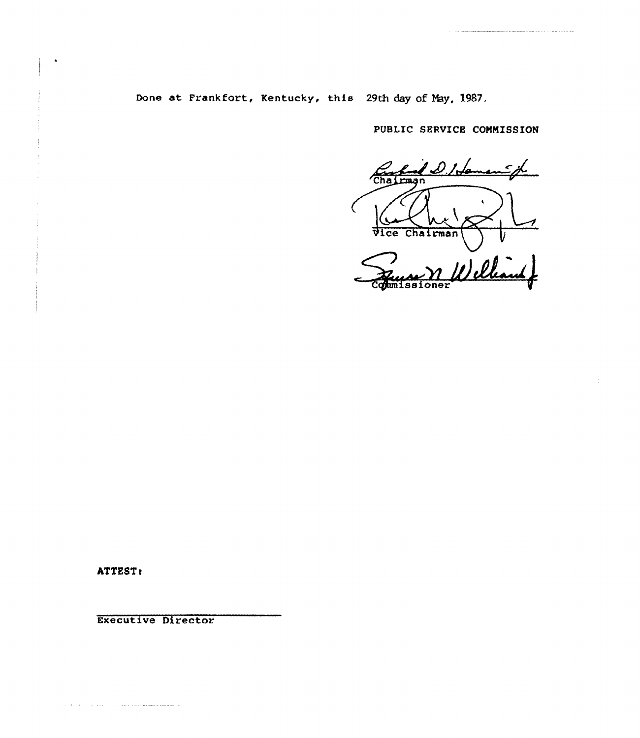Done at Frankfort, Kentucky, this 29th day of May, 1987.

PUBLIC SERVICE COMMISSION

 $\prime\,\mathcal{L}$ Chairman  $\frac{1}{2}$ Vice Chairman

**ATTEST:** 

 $\hat{C}$  , and  $\hat{C}$  , and  $\hat{C}$  , and  $\hat{C}$  , and  $\hat{C}$  , and  $\hat{C}$  , and  $\hat{C}$  , and  $\hat{C}$  , and  $\hat{C}$ 

Executive Director